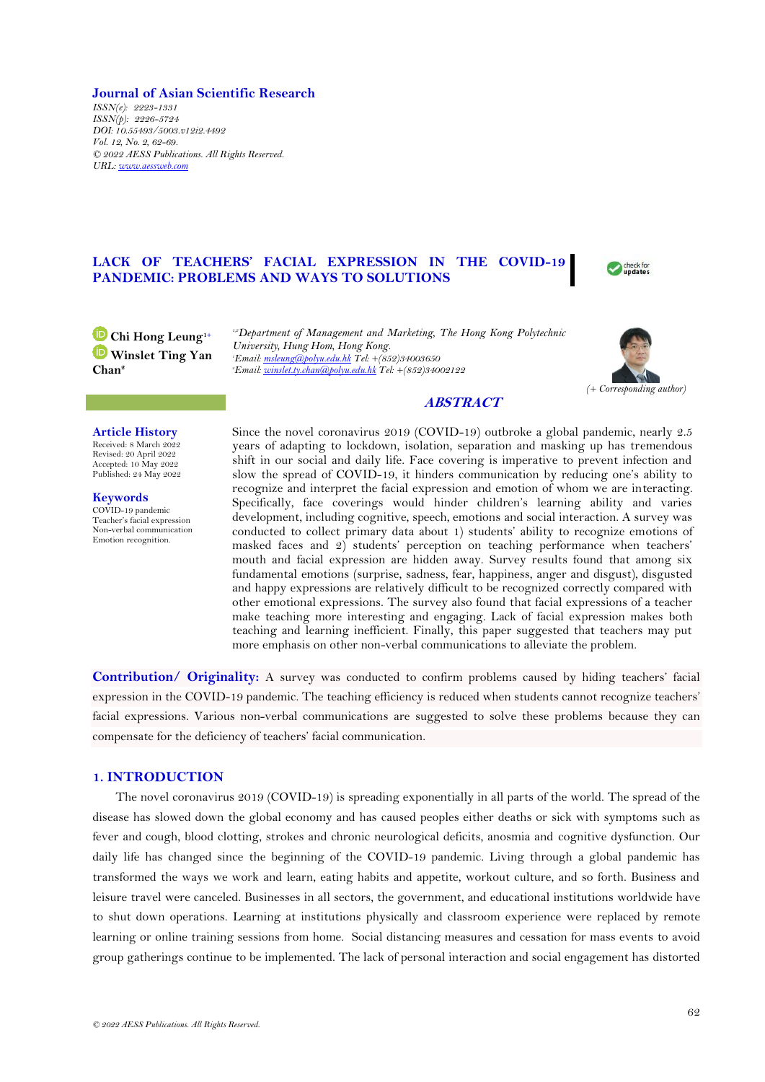## **Journal of Asian Scientific Research**

*ISSN(e): 2223-1331 ISSN(p): 2226-5724 DOI: 10.55493/5003.v12i2.4492 Vol. 12, No. 2, 62-69. © 2022 AESS Publications. All Rights Reserved. URL: [www.aessweb.com](http://www.aessweb.com/)*

# **LACK OF TEACHERS' FACIAL EXPRESSION IN THE COVID-19 PANDEMIC: PROBLEMS AND WAYS TO SOLUTIONS**

**Chi Hong Leung1+ Winslet Ting Yan Chan<sup>2</sup>**

*1,2Department of Management and Marketing, The Hong Kong Polytechnic University, Hung Hom, Hong Kong. <sup>1</sup>Email[: msleung@polyu.edu.hk](mailto:msleung@polyu.edu.hk) Tel: +(852)34003650 <sup>2</sup>Email[: winslet.ty.chan@polyu.edu.hk](mailto:winslet.ty.chan@polyu.edu.hk) Tel: +(852)34002122*



check for update:

# **ABSTRACT**

### **Article History**

Received: 8 March 2022 Revised: 20 April 2022 Accepted: 10 May 2022 Published: 24 May 2022

**Keywords** COVID-19 pandemic Teacher's facial expression Non-verbal communication Emotion recognition.

Since the novel coronavirus 2019 (COVID-19) outbroke a global pandemic, nearly 2.5 years of adapting to lockdown, isolation, separation and masking up has tremendous shift in our social and daily life. Face covering is imperative to prevent infection and slow the spread of COVID-19, it hinders communication by reducing one's ability to recognize and interpret the facial expression and emotion of whom we are interacting. Specifically, face coverings would hinder children's learning ability and varies development, including cognitive, speech, emotions and social interaction. A survey was conducted to collect primary data about 1) students' ability to recognize emotions of masked faces and 2) students' perception on teaching performance when teachers' mouth and facial expression are hidden away. Survey results found that among six fundamental emotions (surprise, sadness, fear, happiness, anger and disgust), disgusted and happy expressions are relatively difficult to be recognized correctly compared with other emotional expressions. The survey also found that facial expressions of a teacher make teaching more interesting and engaging. Lack of facial expression makes both teaching and learning inefficient. Finally, this paper suggested that teachers may put more emphasis on other non-verbal communications to alleviate the problem.

**Contribution/ Originality:** A survey was conducted to confirm problems caused by hiding teachers' facial expression in the COVID-19 pandemic. The teaching efficiency is reduced when students cannot recognize teachers' facial expressions. Various non-verbal communications are suggested to solve these problems because they can compensate for the deficiency of teachers' facial communication.

# **1. INTRODUCTION**

The novel coronavirus 2019 (COVID-19) is spreading exponentially in all parts of the world. The spread of the disease has slowed down the global economy and has caused peoples either deaths or sick with symptoms such as fever and cough, blood clotting, strokes and chronic neurological deficits, anosmia and cognitive dysfunction. Our daily life has changed since the beginning of the COVID-19 pandemic. Living through a global pandemic has transformed the ways we work and learn, eating habits and appetite, workout culture, and so forth. Business and leisure travel were canceled. Businesses in all sectors, the government, and educational institutions worldwide have to shut down operations. Learning at institutions physically and classroom experience were replaced by remote learning or online training sessions from home. Social distancing measures and cessation for mass events to avoid group gatherings continue to be implemented. The lack of personal interaction and social engagement has distorted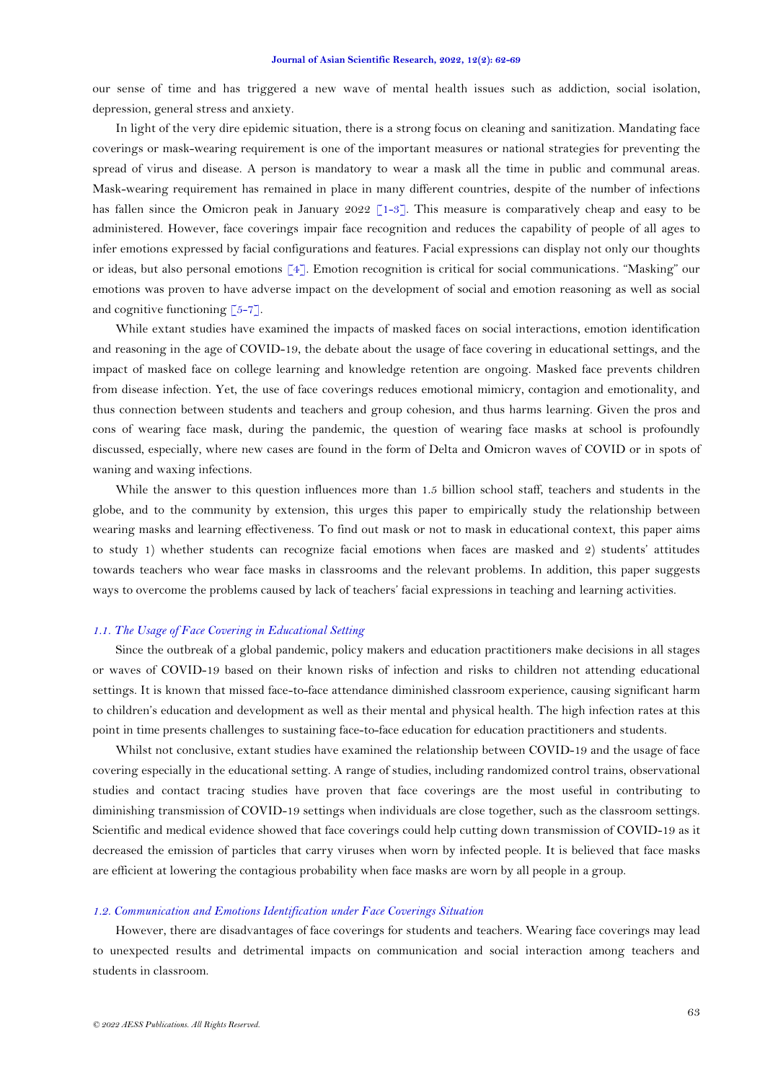our sense of time and has triggered a new wave of mental health issues such as addiction, social isolation, depression, general stress and anxiety.

In light of the very dire epidemic situation, there is a strong focus on cleaning and sanitization. Mandating face coverings or mask-wearing requirement is one of the important measures or national strategies for preventing the spread of virus and disease. A person is mandatory to wear a mask all the time in public and communal areas. Mask-wearing requirement has remained in place in many different countries, despite of the number of infections has fallen since the Omicron peak in January 2022 [\[1-3\]](#page-6-0). This measure is comparatively cheap and easy to be administered. However, face coverings impair face recognition and reduces the capability of people of all ages to infer emotions expressed by facial configurations and features. Facial expressions can display not only our thoughts or ideas, but also personal emotions [\[4\]](#page-6-1). Emotion recognition is critical for social communications. "Masking" our emotions was proven to have adverse impact on the development of social and emotion reasoning as well as social and cognitive functioning  $\lceil 5-7 \rceil$ .

While extant studies have examined the impacts of masked faces on social interactions, emotion identification and reasoning in the age of COVID-19, the debate about the usage of face covering in educational settings, and the impact of masked face on college learning and knowledge retention are ongoing. Masked face prevents children from disease infection. Yet, the use of face coverings reduces emotional mimicry, contagion and emotionality, and thus connection between students and teachers and group cohesion, and thus harms learning. Given the pros and cons of wearing face mask, during the pandemic, the question of wearing face masks at school is profoundly discussed, especially, where new cases are found in the form of Delta and Omicron waves of COVID or in spots of waning and waxing infections.

While the answer to this question influences more than 1.5 billion school staff, teachers and students in the globe, and to the community by extension, this urges this paper to empirically study the relationship between wearing masks and learning effectiveness. To find out mask or not to mask in educational context, this paper aims to study 1) whether students can recognize facial emotions when faces are masked and 2) students' attitudes towards teachers who wear face masks in classrooms and the relevant problems. In addition, this paper suggests ways to overcome the problems caused by lack of teachers' facial expressions in teaching and learning activities.

### *1.1. The Usage of Face Covering in Educational Setting*

Since the outbreak of a global pandemic, policy makers and education practitioners make decisions in all stages or waves of COVID-19 based on their known risks of infection and risks to children not attending educational settings. It is known that missed face-to-face attendance diminished classroom experience, causing significant harm to children's education and development as well as their mental and physical health. The high infection rates at this point in time presents challenges to sustaining face-to-face education for education practitioners and students.

Whilst not conclusive, extant studies have examined the relationship between COVID-19 and the usage of face covering especially in the educational setting. A range of studies, including randomized control trains, observational studies and contact tracing studies have proven that face coverings are the most useful in contributing to diminishing transmission of COVID-19 settings when individuals are close together, such as the classroom settings. Scientific and medical evidence showed that face coverings could help cutting down transmission of COVID-19 as it decreased the emission of particles that carry viruses when worn by infected people. It is believed that face masks are efficient at lowering the contagious probability when face masks are worn by all people in a group.

### *1.2. Communication and Emotions Identification under Face Coverings Situation*

However, there are disadvantages of face coverings for students and teachers. Wearing face coverings may lead to unexpected results and detrimental impacts on communication and social interaction among teachers and students in classroom.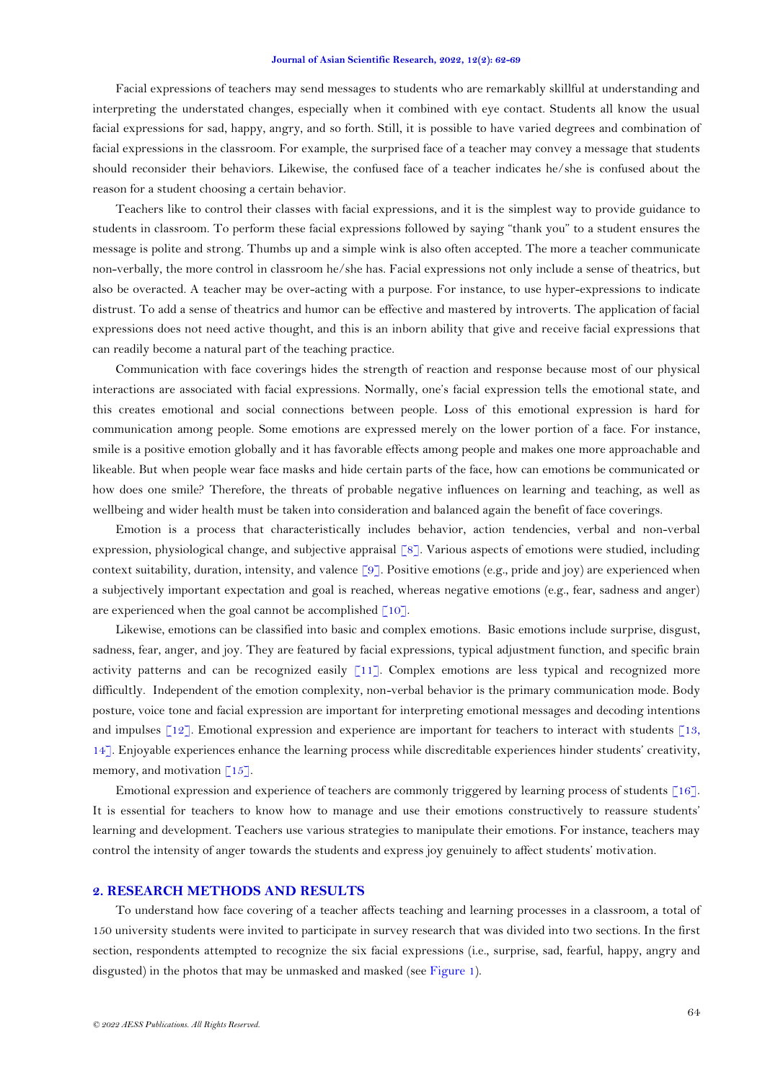#### **Journal of Asian Scientific Research, 2022, 12(2): 62-69**

Facial expressions of teachers may send messages to students who are remarkably skillful at understanding and interpreting the understated changes, especially when it combined with eye contact. Students all know the usual facial expressions for sad, happy, angry, and so forth. Still, it is possible to have varied degrees and combination of facial expressions in the classroom. For example, the surprised face of a teacher may convey a message that students should reconsider their behaviors. Likewise, the confused face of a teacher indicates he/she is confused about the reason for a student choosing a certain behavior.

Teachers like to control their classes with facial expressions, and it is the simplest way to provide guidance to students in classroom. To perform these facial expressions followed by saying "thank you" to a student ensures the message is polite and strong. Thumbs up and a simple wink is also often accepted. The more a teacher communicate non-verbally, the more control in classroom he/she has. Facial expressions not only include a sense of theatrics, but also be overacted. A teacher may be over-acting with a purpose. For instance, to use hyper-expressions to indicate distrust. To add a sense of theatrics and humor can be effective and mastered by introverts. The application of facial expressions does not need active thought, and this is an inborn ability that give and receive facial expressions that can readily become a natural part of the teaching practice.

Communication with face coverings hides the strength of reaction and response because most of our physical interactions are associated with facial expressions. Normally, one's facial expression tells the emotional state, and this creates emotional and social connections between people. Loss of this emotional expression is hard for communication among people. Some emotions are expressed merely on the lower portion of a face. For instance, smile is a positive emotion globally and it has favorable effects among people and makes one more approachable and likeable. But when people wear face masks and hide certain parts of the face, how can emotions be communicated or how does one smile? Therefore, the threats of probable negative influences on learning and teaching, as well as wellbeing and wider health must be taken into consideration and balanced again the benefit of face coverings.

Emotion is a process that characteristically includes behavior, action tendencies, verbal and non-verbal expression, physiological change, and subjective appraisal [\[8\]](#page-6-3). Various aspects of emotions were studied, including context suitability, duration, intensity, and valence  $\lceil 9 \rceil$ . Positive emotions (e.g., pride and joy) are experienced when a subjectively important expectation and goal is reached, whereas negative emotions (e.g., fear, sadness and anger) are experienced when the goal cannot be accomplished  $\lceil 10 \rceil$ .

Likewise, emotions can be classified into basic and complex emotions. Basic emotions include surprise, disgust, sadness, fear, anger, and joy. They are featured by facial expressions, typical adjustment function, and specific brain activity patterns and can be recognized easily [\[11\]](#page-6-6). Complex emotions are less typical and recognized more difficultly. Independent of the emotion complexity, non-verbal behavior is the primary communication mode. Body posture, voice tone and facial expression are important for interpreting emotional messages and decoding intentions and impulses [\[12\]](#page-6-7). Emotional expression and experience are important for teachers to interact with students [\[13,](#page-6-8) [14\]](#page-6-9). Enjoyable experiences enhance the learning process while discreditable experiences hinder students' creativity, memory, and motivation  $\lceil 15 \rceil$ .

Emotional expression and experience of teachers are commonly triggered by learning process of students [\[16\]](#page-6-11). It is essential for teachers to know how to manage and use their emotions constructively to reassure students' learning and development. Teachers use various strategies to manipulate their emotions. For instance, teachers may control the intensity of anger towards the students and express joy genuinely to affect students' motivation.

## **2. RESEARCH METHODS AND RESULTS**

To understand how face covering of a teacher affects teaching and learning processes in a classroom, a total of 150 university students were invited to participate in survey research that was divided into two sections. In the first section, respondents attempted to recognize the six facial expressions (i.e., surprise, sad, fearful, happy, angry and disgusted) in the photos that may be unmasked and masked (see [Figure 1\)](#page-3-0).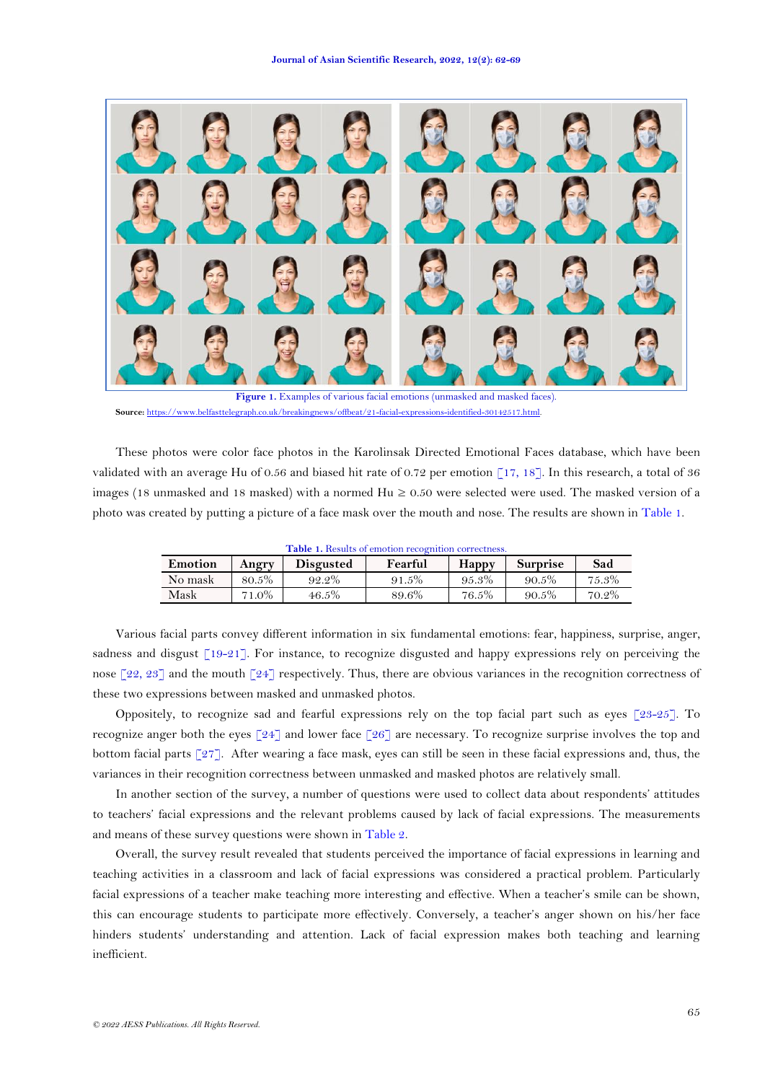

<span id="page-3-0"></span>**Figure 1.** Examples of various facial emotions (unmasked and masked faces). **Source:** [https://www.belfasttelegraph.co.uk/breakingnews/offbeat/21-facial-expressions-identified-30142517.html.](https://www.belfasttelegraph.co.uk/breakingnews/offbeat/21-facial-expressions-identified-30142517.html)

These photos were color face photos in the Karolinsak Directed Emotional Faces database, which have been validated with an average Hu of 0.56 and biased hit rate of 0.72 per emotion  $\lceil 17, 18 \rceil$ . In this research, a total of 36 images (18 unmasked and 18 masked) with a normed  $Hu \ge 0.50$  were selected were used. The masked version of a photo was created by putting a picture of a face mask over the mouth and nose. The results are shown in [Table 1.](#page-3-1)

<span id="page-3-1"></span>

| Table 1. Results of emotion recognition correctness. |       |                  |         |              |                 |       |  |
|------------------------------------------------------|-------|------------------|---------|--------------|-----------------|-------|--|
| Emotion                                              | Angry | <b>Disgusted</b> | Fearful | <b>Happy</b> | <b>Surprise</b> | Sad   |  |
| No mask                                              | 80.5% | 92.2%            | 91.5%   | 95.3%        | 90.5%           | 75.3% |  |
| Mask                                                 | 71.0% | 46.5%            | 89.6%   | 76.5%        | 90.5%           | 70.2% |  |

Various facial parts convey different information in six fundamental emotions: fear, happiness, surprise, anger, sadness and disgust  $\lceil 19-21 \rceil$ . For instance, to recognize disgusted and happy expressions rely on perceiving the nose [\[22,](#page-7-0) [23\]](#page-7-1) and the mouth [\[24\]](#page-7-2) respectively. Thus, there are obvious variances in the recognition correctness of these two expressions between masked and unmasked photos.

Oppositely, to recognize sad and fearful expressions rely on the top facial part such as eyes  $\lceil 23-25 \rceil$ . To recognize anger both the eyes  $\lceil 24 \rceil$  and lower face  $\lceil 26 \rceil$  are necessary. To recognize surprise involves the top and bottom facial parts [\[27\]](#page-7-4). After wearing a face mask, eyes can still be seen in these facial expressions and, thus, the variances in their recognition correctness between unmasked and masked photos are relatively small.

In another section of the survey, a number of questions were used to collect data about respondents' attitudes to teachers' facial expressions and the relevant problems caused by lack of facial expressions. The measurements and means of these survey questions were shown in [Table 2.](#page-4-0)

Overall, the survey result revealed that students perceived the importance of facial expressions in learning and teaching activities in a classroom and lack of facial expressions was considered a practical problem. Particularly facial expressions of a teacher make teaching more interesting and effective. When a teacher's smile can be shown, this can encourage students to participate more effectively. Conversely, a teacher's anger shown on his/her face hinders students' understanding and attention. Lack of facial expression makes both teaching and learning inefficient.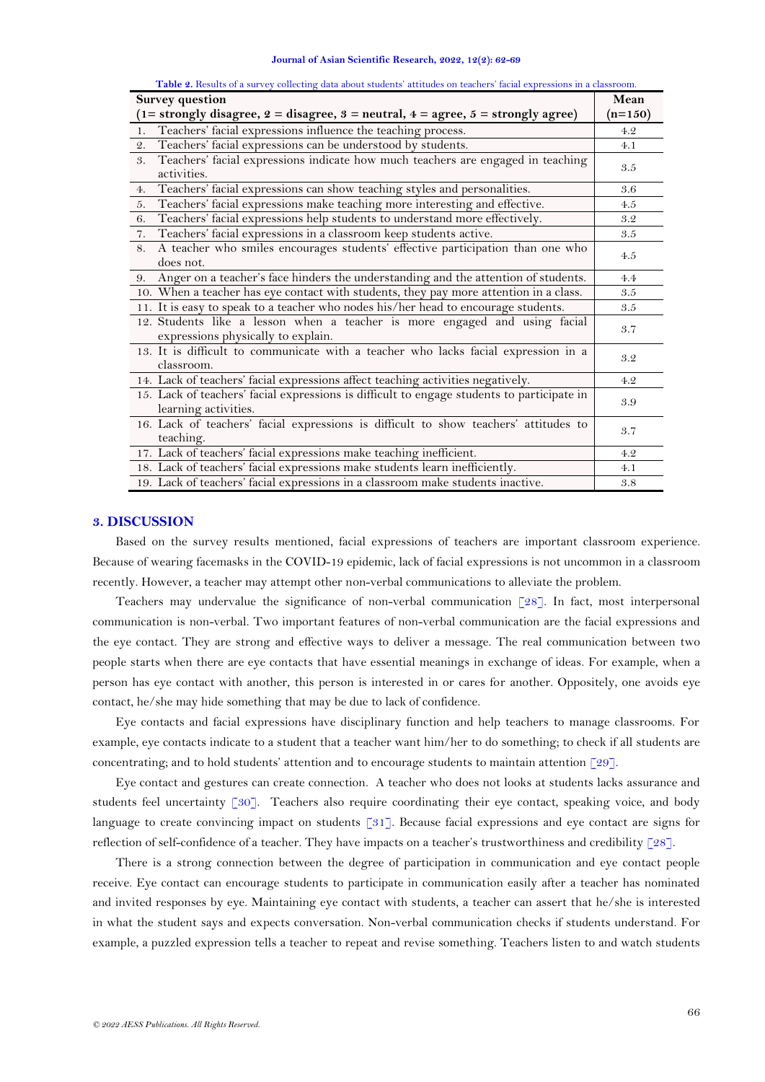<span id="page-4-0"></span>

| <b>Survey question</b>                                                                                             |     |  |  |  |
|--------------------------------------------------------------------------------------------------------------------|-----|--|--|--|
| $(1=$ strongly disagree, $2 =$ disagree, $3 =$ neutral, $4 =$ agree, $5 =$ strongly agree)                         |     |  |  |  |
| Teachers' facial expressions influence the teaching process.<br>1.                                                 |     |  |  |  |
| Teachers' facial expressions can be understood by students.<br>2.                                                  |     |  |  |  |
| Teachers' facial expressions indicate how much teachers are engaged in teaching<br>3.<br>activities.               | 3.5 |  |  |  |
| Teachers' facial expressions can show teaching styles and personalities.<br>4.                                     | 3.6 |  |  |  |
| Teachers' facial expressions make teaching more interesting and effective.<br>5.                                   |     |  |  |  |
| Teachers' facial expressions help students to understand more effectively.<br>6.                                   |     |  |  |  |
| 7. Teachers' facial expressions in a classroom keep students active.                                               | 3.5 |  |  |  |
| A teacher who smiles encourages students' effective participation than one who<br>8.<br>does not.                  | 4.5 |  |  |  |
| 9. Anger on a teacher's face hinders the understanding and the attention of students.                              |     |  |  |  |
| 10. When a teacher has eye contact with students, they pay more attention in a class.                              |     |  |  |  |
| 11. It is easy to speak to a teacher who nodes his/her head to encourage students.                                 |     |  |  |  |
| 12. Students like a lesson when a teacher is more engaged and using facial<br>expressions physically to explain.   | 3.7 |  |  |  |
| 13. It is difficult to communicate with a teacher who lacks facial expression in a<br>classroom.                   |     |  |  |  |
| 14. Lack of teachers' facial expressions affect teaching activities negatively.                                    |     |  |  |  |
| 15. Lack of teachers' facial expressions is difficult to engage students to participate in<br>learning activities. |     |  |  |  |
| 16. Lack of teachers' facial expressions is difficult to show teachers' attitudes to<br>teaching.                  |     |  |  |  |
| 17. Lack of teachers' facial expressions make teaching inefficient.                                                |     |  |  |  |
| 18. Lack of teachers' facial expressions make students learn inefficiently.                                        |     |  |  |  |
| 19. Lack of teachers' facial expressions in a classroom make students inactive.                                    |     |  |  |  |

**Table 2.** Results of a survey collecting data about students' attitudes on teachers' facial expressions in a classroom.

# **3. DISCUSSION**

Based on the survey results mentioned, facial expressions of teachers are important classroom experience. Because of wearing facemasks in the COVID-19 epidemic, lack of facial expressions is not uncommon in a classroom recently. However, a teacher may attempt other non-verbal communications to alleviate the problem.

Teachers may undervalue the significance of non-verbal communication [\[28\]](#page-7-5). In fact, most interpersonal communication is non-verbal. Two important features of non-verbal communication are the facial expressions and the eye contact. They are strong and effective ways to deliver a message. The real communication between two people starts when there are eye contacts that have essential meanings in exchange of ideas. For example, when a person has eye contact with another, this person is interested in or cares for another. Oppositely, one avoids eye contact, he/she may hide something that may be due to lack of confidence.

Eye contacts and facial expressions have disciplinary function and help teachers to manage classrooms. For example, eye contacts indicate to a student that a teacher want him/her to do something; to check if all students are concentrating; and to hold students' attention and to encourage students to maintain attention [\[29\]](#page-7-6).

Eye contact and gestures can create connection. A teacher who does not looks at students lacks assurance and students feel uncertainty [\[30\]](#page-7-7). Teachers also require coordinating their eye contact, speaking voice, and body language to create convincing impact on students [\[31\]](#page-7-8). Because facial expressions and eye contact are signs for reflection of self-confidence of a teacher. They have impacts on a teacher's trustworthiness and credibility [\[28\]](#page-7-5).

There is a strong connection between the degree of participation in communication and eye contact people receive. Eye contact can encourage students to participate in communication easily after a teacher has nominated and invited responses by eye. Maintaining eye contact with students, a teacher can assert that he/she is interested in what the student says and expects conversation. Non-verbal communication checks if students understand. For example, a puzzled expression tells a teacher to repeat and revise something. Teachers listen to and watch students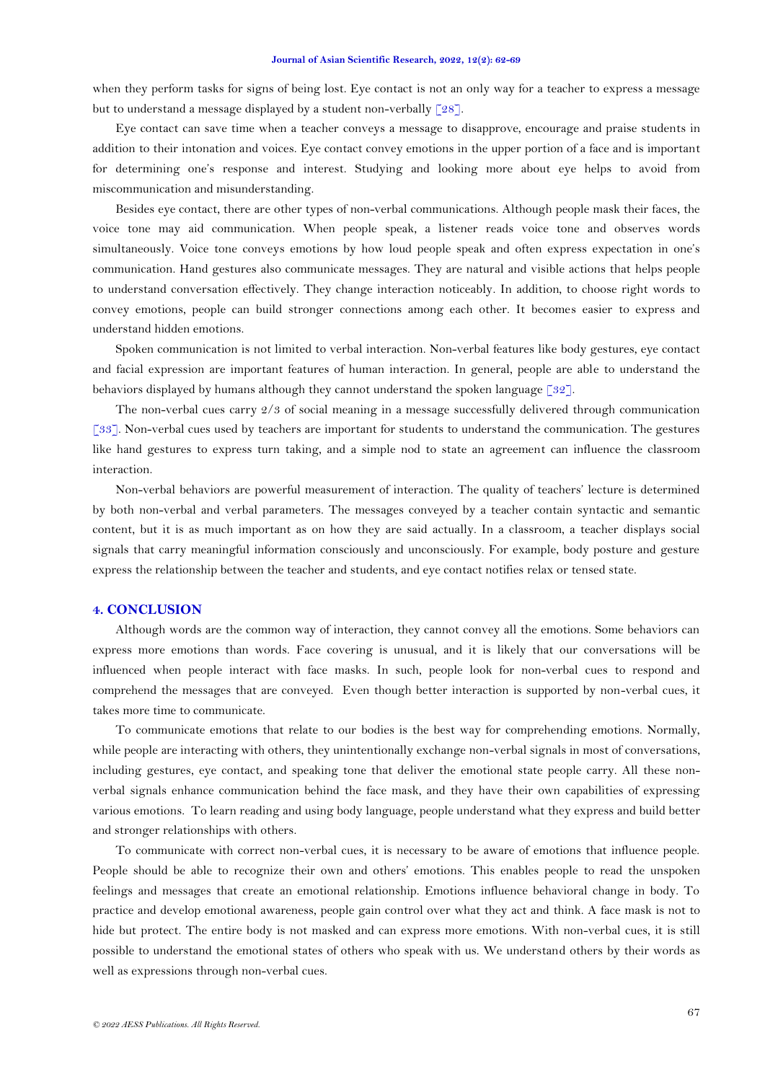#### **Journal of Asian Scientific Research, 2022, 12(2): 62-69**

when they perform tasks for signs of being lost. Eye contact is not an only way for a teacher to express a message but to understand a message displayed by a student non-verbally  $\lceil 28 \rceil$ .

Eye contact can save time when a teacher conveys a message to disapprove, encourage and praise students in addition to their intonation and voices. Eye contact convey emotions in the upper portion of a face and is important for determining one's response and interest. Studying and looking more about eye helps to avoid from miscommunication and misunderstanding.

Besides eye contact, there are other types of non-verbal communications. Although people mask their faces, the voice tone may aid communication. When people speak, a listener reads voice tone and observes words simultaneously. Voice tone conveys emotions by how loud people speak and often express expectation in one's communication. Hand gestures also communicate messages. They are natural and visible actions that helps people to understand conversation effectively. They change interaction noticeably. In addition, to choose right words to convey emotions, people can build stronger connections among each other. It becomes easier to express and understand hidden emotions.

Spoken communication is not limited to verbal interaction. Non-verbal features like body gestures, eye contact and facial expression are important features of human interaction. In general, people are able to understand the behaviors displayed by humans although they cannot understand the spoken language [\[32\]](#page-7-9).

The non-verbal cues carry 2/3 of social meaning in a message successfully delivered through communication [\[33\]](#page-7-10). Non-verbal cues used by teachers are important for students to understand the communication. The gestures like hand gestures to express turn taking, and a simple nod to state an agreement can influence the classroom interaction.

Non-verbal behaviors are powerful measurement of interaction. The quality of teachers' lecture is determined by both non-verbal and verbal parameters. The messages conveyed by a teacher contain syntactic and semantic content, but it is as much important as on how they are said actually. In a classroom, a teacher displays social signals that carry meaningful information consciously and unconsciously. For example, body posture and gesture express the relationship between the teacher and students, and eye contact notifies relax or tensed state.

# **4. CONCLUSION**

Although words are the common way of interaction, they cannot convey all the emotions. Some behaviors can express more emotions than words. Face covering is unusual, and it is likely that our conversations will be influenced when people interact with face masks. In such, people look for non-verbal cues to respond and comprehend the messages that are conveyed. Even though better interaction is supported by non-verbal cues, it takes more time to communicate.

To communicate emotions that relate to our bodies is the best way for comprehending emotions. Normally, while people are interacting with others, they unintentionally exchange non-verbal signals in most of conversations, including gestures, eye contact, and speaking tone that deliver the emotional state people carry. All these nonverbal signals enhance communication behind the face mask, and they have their own capabilities of expressing various emotions. To learn reading and using body language, people understand what they express and build better and stronger relationships with others.

To communicate with correct non-verbal cues, it is necessary to be aware of emotions that influence people. People should be able to recognize their own and others' emotions. This enables people to read the unspoken feelings and messages that create an emotional relationship. Emotions influence behavioral change in body. To practice and develop emotional awareness, people gain control over what they act and think. A face mask is not to hide but protect. The entire body is not masked and can express more emotions. With non-verbal cues, it is still possible to understand the emotional states of others who speak with us. We understand others by their words as well as expressions through non-verbal cues.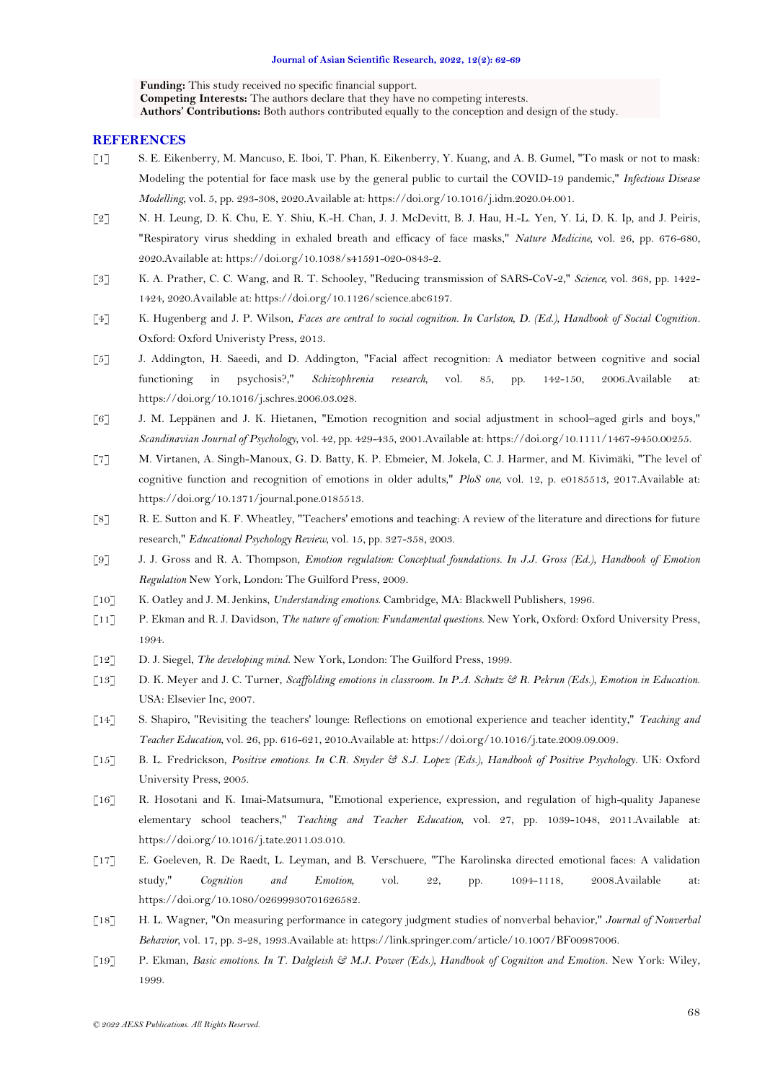**Funding:** This study received no specific financial support. **Competing Interests:** The authors declare that they have no competing interests. **Authors' Contributions:** Both authors contributed equally to the conception and design of the study.

### **REFERENCES**

- <span id="page-6-0"></span>[1] S. E. Eikenberry, M. Mancuso, E. Iboi, T. Phan, K. Eikenberry, Y. Kuang, and A. B. Gumel, "To mask or not to mask: Modeling the potential for face mask use by the general public to curtail the COVID-19 pandemic," *Infectious Disease Modelling,* vol. 5, pp. 293-308, 2020.Available at: https://doi.org/10.1016/j.idm.2020.04.001.
- [2] N. H. Leung, D. K. Chu, E. Y. Shiu, K.-H. Chan, J. J. McDevitt, B. J. Hau, H.-L. Yen, Y. Li, D. K. Ip, and J. Peiris, "Respiratory virus shedding in exhaled breath and efficacy of face masks," *Nature Medicine,* vol. 26, pp. 676-680, 2020.Available at: https://doi.org/10.1038/s41591-020-0843-2.
- [3] K. A. Prather, C. C. Wang, and R. T. Schooley, "Reducing transmission of SARS-CoV-2," *Science,* vol. 368, pp. 1422- 1424, 2020.Available at: https://doi.org/10.1126/science.abc6197.
- <span id="page-6-1"></span>[4] K. Hugenberg and J. P. Wilson, *Faces are central to social cognition. In Carlston, D. (Ed.), Handbook of Social Cognition*. Oxford: Oxford Univeristy Press, 2013.
- <span id="page-6-2"></span>[5] J. Addington, H. Saeedi, and D. Addington, "Facial affect recognition: A mediator between cognitive and social functioning in psychosis?," *Schizophrenia research,* vol. 85, pp. 142-150, 2006.Available at: https://doi.org/10.1016/j.schres.2006.03.028.
- [6] J. M. Leppänen and J. K. Hietanen, "Emotion recognition and social adjustment in school–aged girls and boys," *Scandinavian Journal of Psychology,* vol. 42, pp. 429-435, 2001.Available at: https://doi.org/10.1111/1467-9450.00255.
- [7] M. Virtanen, A. Singh-Manoux, G. D. Batty, K. P. Ebmeier, M. Jokela, C. J. Harmer, and M. Kivimäki, "The level of cognitive function and recognition of emotions in older adults," *PloS one,* vol. 12, p. e0185513, 2017.Available at: https://doi.org/10.1371/journal.pone.0185513.
- <span id="page-6-3"></span>[8] R. E. Sutton and K. F. Wheatley, "Teachers' emotions and teaching: A review of the literature and directions for future research," *Educational Psychology Review,* vol. 15, pp. 327-358, 2003.
- <span id="page-6-4"></span>[9] J. J. Gross and R. A. Thompson, *Emotion regulation: Conceptual foundations. In J.J. Gross (Ed.), Handbook of Emotion Regulation* New York, London: The Guilford Press, 2009.
- <span id="page-6-5"></span>[10] K. Oatley and J. M. Jenkins, *Understanding emotions*. Cambridge, MA: Blackwell Publishers, 1996.
- <span id="page-6-6"></span>[11] P. Ekman and R. J. Davidson, *The nature of emotion: Fundamental questions*. New York, Oxford: Oxford University Press, 1994.
- <span id="page-6-7"></span>[12] D. J. Siegel, *The developing mind*. New York, London: The Guilford Press, 1999.
- <span id="page-6-8"></span>[13] D. K. Meyer and J. C. Turner, *Scaffolding emotions in classroom. In P.A. Schutz & R. Pekrun (Eds.), Emotion in Education*. USA: Elsevier Inc, 2007.
- <span id="page-6-9"></span>[14] S. Shapiro, "Revisiting the teachers' lounge: Reflections on emotional experience and teacher identity," *Teaching and Teacher Education,* vol. 26, pp. 616-621, 2010.Available at: https://doi.org/10.1016/j.tate.2009.09.009.
- <span id="page-6-10"></span>[15] B. L. Fredrickson, *Positive emotions. In C.R. Snyder & S.J. Lopez (Eds.), Handbook of Positive Psychology*. UK: Oxford University Press, 2005.
- <span id="page-6-11"></span>[16] R. Hosotani and K. Imai-Matsumura, "Emotional experience, expression, and regulation of high-quality Japanese elementary school teachers," *Teaching and Teacher Education,* vol. 27, pp. 1039-1048, 2011.Available at: https://doi.org/10.1016/j.tate.2011.03.010.
- <span id="page-6-12"></span>[17] E. Goeleven, R. De Raedt, L. Leyman, and B. Verschuere, "The Karolinska directed emotional faces: A validation study," *Cognition and Emotion,* vol. 22, pp. 1094-1118, 2008.Available at: https://doi.org/10.1080/02699930701626582.
- <span id="page-6-13"></span>[18] H. L. Wagner, "On measuring performance in category judgment studies of nonverbal behavior," *Journal of Nonverbal Behavior,* vol. 17, pp. 3-28, 1993.Available at: https://link.springer.com/article/10.1007/BF00987006.
- <span id="page-6-14"></span>[19] P. Ekman, *Basic emotions. In T. Dalgleish & M.J. Power (Eds.), Handbook of Cognition and Emotion*. New York: Wiley, 1999.